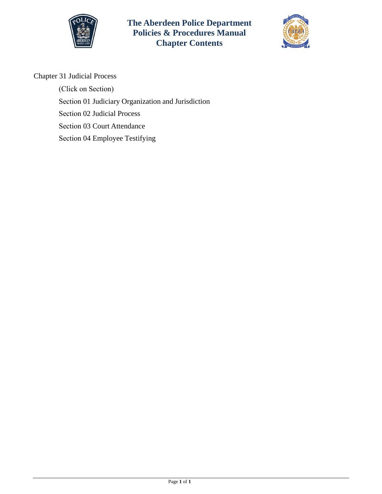

**The Aberdeen Police Department Policies & Procedures Manual Chapter Contents**



Chapter 31 Judicial Process

(Click on Section) Section [01 Judiciary Organization and Jurisdiction](#page-1-0)  Section [02 Judicial Process](#page-5-0)  Section [03 Court Attendance](#page-8-0)  Section 04 [Employee Testifying](#page-9-0)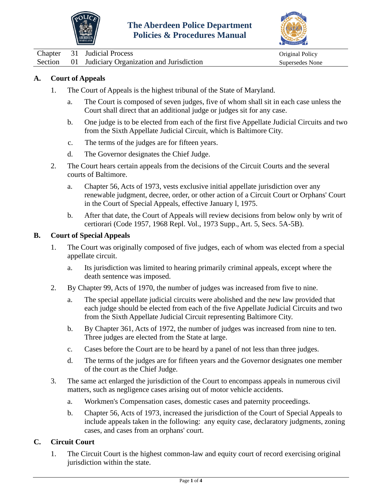



<span id="page-1-0"></span>Chapter 31 Judicial Process Chapter 31 Judicial Process Chapter of the United States of the United States of the Original Policy Section 01 Judiciary Organization and Jurisdiction Supersedes None

# **A. Court of Appeals**

- 1. The Court of Appeals is the highest tribunal of the State of Maryland.
	- a. The Court is composed of seven judges, five of whom shall sit in each case unless the Court shall direct that an additional judge or judges sit for any case.
	- b. One judge is to be elected from each of the first five Appellate Judicial Circuits and two from the Sixth Appellate Judicial Circuit, which is Baltimore City.
	- c. The terms of the judges are for fifteen years.
	- d. The Governor designates the Chief Judge.
- 2. The Court hears certain appeals from the decisions of the Circuit Courts and the several courts of Baltimore.
	- a. Chapter 56, Acts of 1973, vests exclusive initial appellate jurisdiction over any renewable judgment, decree, order, or other action of a Circuit Court or Orphans' Court in the Court of Special Appeals, effective January l, 1975.
	- b. After that date, the Court of Appeals will review decisions from below only by writ of certiorari (Code 1957, 1968 Repl. Vol., 1973 Supp., Art. 5, Secs. 5A-5B).

#### **B. Court of Special Appeals**

- 1. The Court was originally composed of five judges, each of whom was elected from a special appellate circuit.
	- a. Its jurisdiction was limited to hearing primarily criminal appeals, except where the death sentence was imposed.
- 2. By Chapter 99, Acts of 1970, the number of judges was increased from five to nine.
	- a. The special appellate judicial circuits were abolished and the new law provided that each judge should be elected from each of the five Appellate Judicial Circuits and two from the Sixth Appellate Judicial Circuit representing Baltimore City.
	- b. By Chapter 361, Acts of 1972, the number of judges was increased from nine to ten. Three judges are elected from the State at large.
	- c. Cases before the Court are to be heard by a panel of not less than three judges.
	- d. The terms of the judges are for fifteen years and the Governor designates one member of the court as the Chief Judge.
- 3. The same act enlarged the jurisdiction of the Court to encompass appeals in numerous civil matters, such as negligence cases arising out of motor vehicle accidents.
	- a. Workmen's Compensation cases, domestic cases and paternity proceedings.
	- b. Chapter 56, Acts of 1973, increased the jurisdiction of the Court of Special Appeals to include appeals taken in the following: any equity case, declaratory judgments, zoning cases, and cases from an orphans' court.

### **C. Circuit Court**

1. The Circuit Court is the highest common-law and equity court of record exercising original jurisdiction within the state.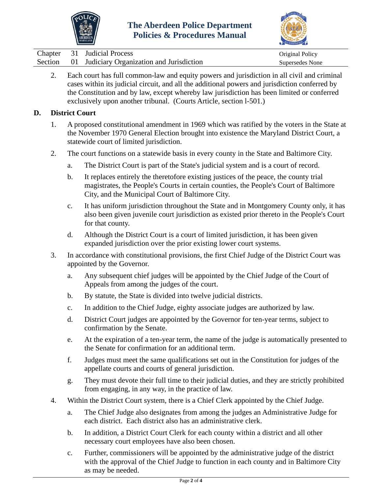



|  | Chapter 31 Judicial Process                        | Original Policy |
|--|----------------------------------------------------|-----------------|
|  | Section 01 Judiciary Organization and Jurisdiction | Supersedes None |

2. Each court has full common-law and equity powers and jurisdiction in all civil and criminal cases within its judicial circuit, and all the additional powers and jurisdiction conferred by the Constitution and by law, except whereby law jurisdiction has been limited or conferred exclusively upon another tribunal. (Courts Article, section l-501.)

### **D. District Court**

- 1. A proposed constitutional amendment in 1969 which was ratified by the voters in the State at the November 1970 General Election brought into existence the Maryland District Court, a statewide court of limited jurisdiction.
- 2. The court functions on a statewide basis in every county in the State and Baltimore City.
	- a. The District Court is part of the State's judicial system and is a court of record.
	- b. It replaces entirely the theretofore existing justices of the peace, the county trial magistrates, the People's Courts in certain counties, the People's Court of Baltimore City, and the Municipal Court of Baltimore City.
	- c. It has uniform jurisdiction throughout the State and in Montgomery County only, it has also been given juvenile court jurisdiction as existed prior thereto in the People's Court for that county.
	- d. Although the District Court is a court of limited jurisdiction, it has been given expanded jurisdiction over the prior existing lower court systems.
- 3. In accordance with constitutional provisions, the first Chief Judge of the District Court was appointed by the Governor.
	- a. Any subsequent chief judges will be appointed by the Chief Judge of the Court of Appeals from among the judges of the court.
	- b. By statute, the State is divided into twelve judicial districts.
	- c. In addition to the Chief Judge, eighty associate judges are authorized by law.
	- d. District Court judges are appointed by the Governor for ten-year terms, subject to confirmation by the Senate.
	- e. At the expiration of a ten-year term, the name of the judge is automatically presented to the Senate for confirmation for an additional term.
	- f. Judges must meet the same qualifications set out in the Constitution for judges of the appellate courts and courts of general jurisdiction.
	- g. They must devote their full time to their judicial duties, and they are strictly prohibited from engaging, in any way, in the practice of law.
- 4. Within the District Court system, there is a Chief Clerk appointed by the Chief Judge.
	- a. The Chief Judge also designates from among the judges an Administrative Judge for each district. Each district also has an administrative clerk.
	- b. In addition, a District Court Clerk for each county within a district and all other necessary court employees have also been chosen.
	- c. Further, commissioners will be appointed by the administrative judge of the district with the approval of the Chief Judge to function in each county and in Baltimore City as may be needed.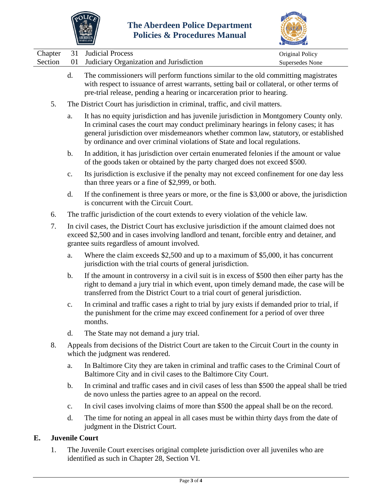



|         | MARYLAND                                                                                                                                                                         | ACCREDITATION   |
|---------|----------------------------------------------------------------------------------------------------------------------------------------------------------------------------------|-----------------|
|         | Chapter 31 Judicial Process                                                                                                                                                      | Original Policy |
| Section | 01 Judiciary Organization and Jurisdiction                                                                                                                                       | Supersedes None |
|         | The commissioners will perform functions similar to the old committing magistrates<br>with respect to issuance of arrest warrants, setting bail or collateral, or other terms of |                 |

- with respect to issuance of arrest warrants, setting bail or collateral, or other terms of pre-trial release, pending a hearing or incarceration prior to hearing.
- 5. The District Court has jurisdiction in criminal, traffic, and civil matters.
	- a. It has no equity jurisdiction and has juvenile jurisdiction in Montgomery County only. In criminal cases the court may conduct preliminary hearings in felony cases; it has general jurisdiction over misdemeanors whether common law, statutory, or established by ordinance and over criminal violations of State and local regulations.
	- b. In addition, it has jurisdiction over certain enumerated felonies if the amount or value of the goods taken or obtained by the party charged does not exceed \$500.
	- c. Its jurisdiction is exclusive if the penalty may not exceed confinement for one day less than three years or a fine of \$2,999, or both.
	- d. If the confinement is three years or more, or the fine is \$3,000 or above, the jurisdiction is concurrent with the Circuit Court.
- 6. The traffic jurisdiction of the court extends to every violation of the vehicle law.
- 7. In civil cases, the District Court has exclusive jurisdiction if the amount claimed does not exceed \$2,500 and in cases involving landlord and tenant, forcible entry and detainer, and grantee suits regardless of amount involved.
	- a. Where the claim exceeds \$2,500 and up to a maximum of \$5,000, it has concurrent jurisdiction with the trial courts of general jurisdiction.
	- b. If the amount in controversy in a civil suit is in excess of \$500 then eiher party has the right to demand a jury trial in which event, upon timely demand made, the case will be transferred from the District Court to a trial court of general jurisdiction.
	- c. In criminal and traffic cases a right to trial by jury exists if demanded prior to trial, if the punishment for the crime may exceed confinement for a period of over three months.
	- d. The State may not demand a jury trial.
- 8. Appeals from decisions of the District Court are taken to the Circuit Court in the county in which the judgment was rendered.
	- a. In Baltimore City they are taken in criminal and traffic cases to the Criminal Court of Baltimore City and in civil cases to the Baltimore City Court.
	- b. In criminal and traffic cases and in civil cases of less than \$500 the appeal shall be tried de novo unless the parties agree to an appeal on the record.
	- c. In civil cases involving claims of more than \$500 the appeal shall be on the record.
	- d. The time for noting an appeal in all cases must be within thirty days from the date of judgment in the District Court.

# **E. Juvenile Court**

1. The Juvenile Court exercises original complete jurisdiction over all juveniles who are identified as such in Chapter 28, Section VI.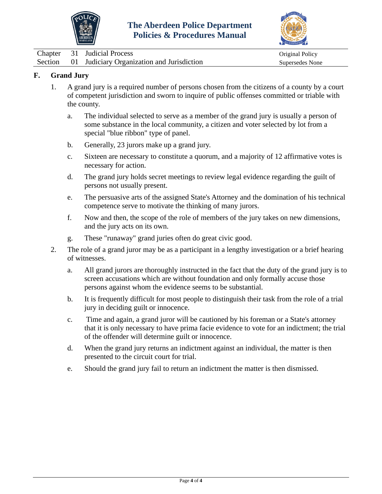



| <b>Chapter</b> | 31 Judicial Process                        | Original Policy |
|----------------|--------------------------------------------|-----------------|
| Section        | 01 Judiciary Organization and Jurisdiction | Supersedes None |

# **F. Grand Jury**

- 1. A grand jury is a required number of persons chosen from the citizens of a county by a court of competent jurisdiction and sworn to inquire of public offenses committed or triable with the county.
	- a. The individual selected to serve as a member of the grand jury is usually a person of some substance in the local community, a citizen and voter selected by lot from a special "blue ribbon" type of panel.
	- b. Generally, 23 jurors make up a grand jury.
	- c. Sixteen are necessary to constitute a quorum, and a majority of 12 affirmative votes is necessary for action.
	- d. The grand jury holds secret meetings to review legal evidence regarding the guilt of persons not usually present.
	- e. The persuasive arts of the assigned State's Attorney and the domination of his technical competence serve to motivate the thinking of many jurors.
	- f. Now and then, the scope of the role of members of the jury takes on new dimensions, and the jury acts on its own.
	- g. These "runaway" grand juries often do great civic good.
- 2. The role of a grand juror may be as a participant in a lengthy investigation or a brief hearing of witnesses.
	- a. All grand jurors are thoroughly instructed in the fact that the duty of the grand jury is to screen accusations which are without foundation and only formally accuse those persons against whom the evidence seems to be substantial.
	- b. It is frequently difficult for most people to distinguish their task from the role of a trial jury in deciding guilt or innocence.
	- c. Time and again, a grand juror will be cautioned by his foreman or a State's attorney that it is only necessary to have prima facie evidence to vote for an indictment; the trial of the offender will determine guilt or innocence.
	- d. When the grand jury returns an indictment against an individual, the matter is then presented to the circuit court for trial.
	- e. Should the grand jury fail to return an indictment the matter is then dismissed.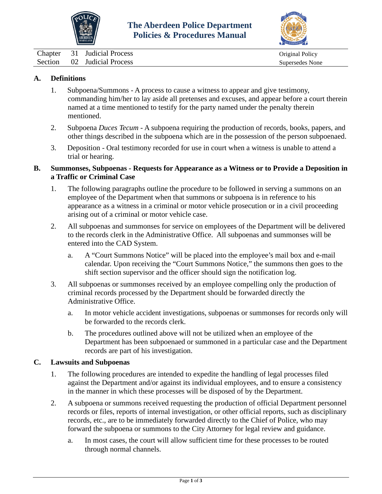



<span id="page-5-0"></span>Chapter 31 Judicial Process Original Policy Section 02 Judicial Process Supersedes None

# **A. Definitions**

- 1. Subpoena/Summons A process to cause a witness to appear and give testimony, commanding him/her to lay aside all pretenses and excuses, and appear before a court therein named at a time mentioned to testify for the party named under the penalty therein mentioned.
- 2. Subpoena *Duces Tecum* A subpoena requiring the production of records, books, papers, and other things described in the subpoena which are in the possession of the person subpoenaed.
- 3. Deposition Oral testimony recorded for use in court when a witness is unable to attend a trial or hearing.

### **B. Summonses, Subpoenas - Requests for Appearance as a Witness or to Provide a Deposition in a Traffic or Criminal Case**

- 1. The following paragraphs outline the procedure to be followed in serving a summons on an employee of the Department when that summons or subpoena is in reference to his appearance as a witness in a criminal or motor vehicle prosecution or in a civil proceeding arising out of a criminal or motor vehicle case.
- 2. All subpoenas and summonses for service on employees of the Department will be delivered to the records clerk in the Administrative Office. All subpoenas and summonses will be entered into the CAD System.
	- a. A "Court Summons Notice" will be placed into the employee's mail box and e-mail calendar. Upon receiving the "Court Summons Notice," the summons then goes to the shift section supervisor and the officer should sign the notification log.
- 3. All subpoenas or summonses received by an employee compelling only the production of criminal records processed by the Department should be forwarded directly the Administrative Office.
	- a. In motor vehicle accident investigations, subpoenas or summonses for records only will be forwarded to the records clerk.
	- b. The procedures outlined above will not be utilized when an employee of the Department has been subpoenaed or summoned in a particular case and the Department records are part of his investigation.

### **C. Lawsuits and Subpoenas**

- 1. The following procedures are intended to expedite the handling of legal processes filed against the Department and/or against its individual employees, and to ensure a consistency in the manner in which these processes will be disposed of by the Department.
- 2. A subpoena or summons received requesting the production of official Department personnel records or files, reports of internal investigation, or other official reports, such as disciplinary records, etc., are to be immediately forwarded directly to the Chief of Police, who may forward the subpoena or summons to the City Attorney for legal review and guidance.
	- a. In most cases, the court will allow sufficient time for these processes to be routed through normal channels.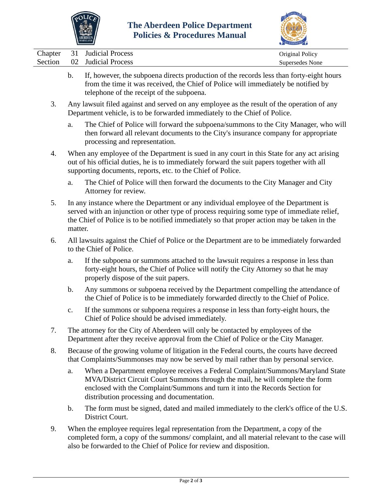



|  | Chapter 31 Judicial Process | Original Policy |
|--|-----------------------------|-----------------|
|  | Section 02 Judicial Process | Supersedes None |

- b. If, however, the subpoena directs production of the records less than forty-eight hours from the time it was received, the Chief of Police will immediately be notified by telephone of the receipt of the subpoena.
- 3. Any lawsuit filed against and served on any employee as the result of the operation of any Department vehicle, is to be forwarded immediately to the Chief of Police.
	- a. The Chief of Police will forward the subpoena/summons to the City Manager, who will then forward all relevant documents to the City's insurance company for appropriate processing and representation.
- 4. When any employee of the Department is sued in any court in this State for any act arising out of his official duties, he is to immediately forward the suit papers together with all supporting documents, reports, etc. to the Chief of Police.
	- a. The Chief of Police will then forward the documents to the City Manager and City Attorney for review.
- 5. In any instance where the Department or any individual employee of the Department is served with an injunction or other type of process requiring some type of immediate relief, the Chief of Police is to be notified immediately so that proper action may be taken in the matter.
- 6. All lawsuits against the Chief of Police or the Department are to be immediately forwarded to the Chief of Police.
	- a. If the subpoena or summons attached to the lawsuit requires a response in less than forty-eight hours, the Chief of Police will notify the City Attorney so that he may properly dispose of the suit papers.
	- b. Any summons or subpoena received by the Department compelling the attendance of the Chief of Police is to be immediately forwarded directly to the Chief of Police.
	- c. If the summons or subpoena requires a response in less than forty-eight hours, the Chief of Police should be advised immediately.
- 7. The attorney for the City of Aberdeen will only be contacted by employees of the Department after they receive approval from the Chief of Police or the City Manager.
- 8. Because of the growing volume of litigation in the Federal courts, the courts have decreed that Complaints/Summonses may now be served by mail rather than by personal service.
	- a. When a Department employee receives a Federal Complaint/Summons/Maryland State MVA/District Circuit Court Summons through the mail, he will complete the form enclosed with the Complaint/Summons and turn it into the Records Section for distribution processing and documentation.
	- b. The form must be signed, dated and mailed immediately to the clerk's office of the U.S. District Court.
- 9. When the employee requires legal representation from the Department, a copy of the completed form, a copy of the summons/ complaint, and all material relevant to the case will also be forwarded to the Chief of Police for review and disposition.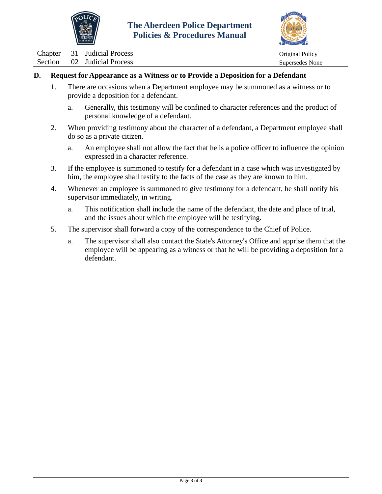



## **D. Request for Appearance as a Witness or to Provide a Deposition for a Defendant**

- 1. There are occasions when a Department employee may be summoned as a witness or to provide a deposition for a defendant.
	- a. Generally, this testimony will be confined to character references and the product of personal knowledge of a defendant.
- 2. When providing testimony about the character of a defendant, a Department employee shall do so as a private citizen.
	- a. An employee shall not allow the fact that he is a police officer to influence the opinion expressed in a character reference.
- 3. If the employee is summoned to testify for a defendant in a case which was investigated by him, the employee shall testify to the facts of the case as they are known to him.
- 4. Whenever an employee is summoned to give testimony for a defendant, he shall notify his supervisor immediately, in writing.
	- a. This notification shall include the name of the defendant, the date and place of trial, and the issues about which the employee will be testifying.
- 5. The supervisor shall forward a copy of the correspondence to the Chief of Police.
	- a. The supervisor shall also contact the State's Attorney's Office and apprise them that the employee will be appearing as a witness or that he will be providing a deposition for a defendant.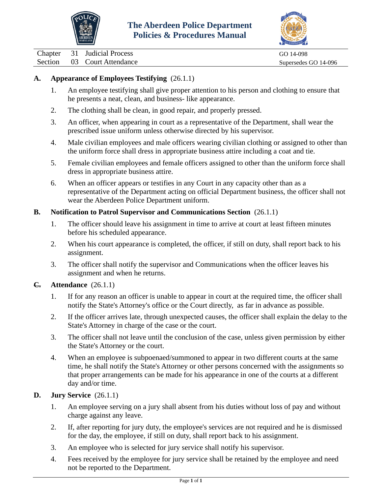



<span id="page-8-0"></span>Chapter 31 Judicial Process GO 14-098

Section 03 Court Attendance Supersedes GO 14-096

# **A. Appearance of Employees Testifying** (26.1.1)

- 1. An employee testifying shall give proper attention to his person and clothing to ensure that he presents a neat, clean, and business- like appearance.
- 2. The clothing shall be clean, in good repair, and properly pressed.
- 3. An officer, when appearing in court as a representative of the Department, shall wear the prescribed issue uniform unless otherwise directed by his supervisor.
- 4. Male civilian employees and male officers wearing civilian clothing or assigned to other than the uniform force shall dress in appropriate business attire including a coat and tie.
- 5. Female civilian employees and female officers assigned to other than the uniform force shall dress in appropriate business attire.
- 6. When an officer appears or testifies in any Court in any capacity other than as a representative of the Department acting on official Department business, the officer shall not wear the Aberdeen Police Department uniform.

### **B. Notification to Patrol Supervisor and Communications Section** (26.1.1)

- 1. The officer should leave his assignment in time to arrive at court at least fifteen minutes before his scheduled appearance.
- 2. When his court appearance is completed, the officer, if still on duty, shall report back to his assignment.
- 3. The officer shall notify the supervisor and Communications when the officer leaves his assignment and when he returns.

### **C. Attendance** (26.1.1)

- 1. If for any reason an officer is unable to appear in court at the required time, the officer shall notify the State's Attorney's office or the Court directly, as far in advance as possible.
- 2. If the officer arrives late, through unexpected causes, the officer shall explain the delay to the State's Attorney in charge of the case or the court.
- 3. The officer shall not leave until the conclusion of the case, unless given permission by either the State's Attorney or the court.
- 4. When an employee is subpoenaed/summoned to appear in two different courts at the same time, he shall notify the State's Attorney or other persons concerned with the assignments so that proper arrangements can be made for his appearance in one of the courts at a different day and/or time.

### **D. Jury Service** (26.1.1)

- 1. An employee serving on a jury shall absent from his duties without loss of pay and without charge against any leave.
- 2. If, after reporting for jury duty, the employee's services are not required and he is dismissed for the day, the employee, if still on duty, shall report back to his assignment.
- 3. An employee who is selected for jury service shall notify his supervisor.
- 4. Fees received by the employee for jury service shall be retained by the employee and need not be reported to the Department.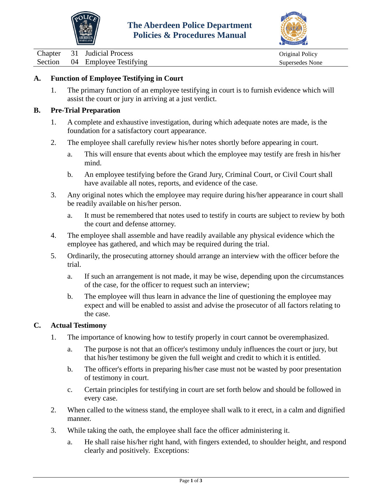



<span id="page-9-0"></span>Chapter 31 Judicial Process Original Policy

Section 04 Employee Testifying Supersedes None

## **A. Function of Employee Testifying in Court**

1. The primary function of an employee testifying in court is to furnish evidence which will assist the court or jury in arriving at a just verdict.

## **B. Pre-Trial Preparation**

- 1. A complete and exhaustive investigation, during which adequate notes are made, is the foundation for a satisfactory court appearance.
- 2. The employee shall carefully review his/her notes shortly before appearing in court.
	- a. This will ensure that events about which the employee may testify are fresh in his/her mind.
	- b. An employee testifying before the Grand Jury, Criminal Court, or Civil Court shall have available all notes, reports, and evidence of the case.
- 3. Any original notes which the employee may require during his/her appearance in court shall be readily available on his/her person.
	- a. It must be remembered that notes used to testify in courts are subject to review by both the court and defense attorney.
- 4. The employee shall assemble and have readily available any physical evidence which the employee has gathered, and which may be required during the trial.
- 5. Ordinarily, the prosecuting attorney should arrange an interview with the officer before the trial.
	- a. If such an arrangement is not made, it may be wise, depending upon the circumstances of the case, for the officer to request such an interview;
	- b. The employee will thus learn in advance the line of questioning the employee may expect and will be enabled to assist and advise the prosecutor of all factors relating to the case.

#### **C. Actual Testimony**

- 1. The importance of knowing how to testify properly in court cannot be overemphasized.
	- a. The purpose is not that an officer's testimony unduly influences the court or jury, but that his/her testimony be given the full weight and credit to which it is entitled.
	- b. The officer's efforts in preparing his/her case must not be wasted by poor presentation of testimony in court.
	- c. Certain principles for testifying in court are set forth below and should be followed in every case.
- 2. When called to the witness stand, the employee shall walk to it erect, in a calm and dignified manner.
- 3. While taking the oath, the employee shall face the officer administering it.
	- a. He shall raise his/her right hand, with fingers extended, to shoulder height, and respond clearly and positively. Exceptions: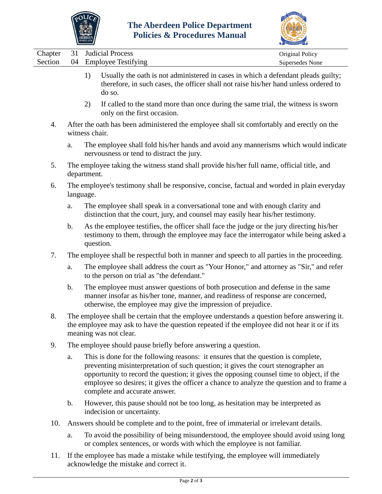



|  | Chapter 31 Judicial Process    | Original Policy |
|--|--------------------------------|-----------------|
|  | Section 04 Employee Testifying | Supersedes None |
|  |                                |                 |

- 1) Usually the oath is not administered in cases in which a defendant pleads guilty; therefore, in such cases, the officer shall not raise his/her hand unless ordered to do so.
- 2) If called to the stand more than once during the same trial, the witness is sworn only on the first occasion.
- 4. After the oath has been administered the employee shall sit comfortably and erectly on the witness chair.
	- a. The employee shall fold his/her hands and avoid any mannerisms which would indicate nervousness or tend to distract the jury.
- 5. The employee taking the witness stand shall provide his/her full name, official title, and department.
- 6. The employee's testimony shall be responsive, concise, factual and worded in plain everyday language.
	- a. The employee shall speak in a conversational tone and with enough clarity and distinction that the court, jury, and counsel may easily hear his/her testimony.
	- b. As the employee testifies, the officer shall face the judge or the jury directing his/her testimony to them, through the employee may face the interrogator while being asked a question.
- 7. The employee shall be respectful both in manner and speech to all parties in the proceeding.
	- a. The employee shall address the court as "Your Honor," and attorney as "Sir," and refer to the person on trial as "the defendant."
	- b. The employee must answer questions of both prosecution and defense in the same manner insofar as his/her tone, manner, and readiness of response are concerned, otherwise, the employee may give the impression of prejudice.
- 8. The employee shall be certain that the employee understands a question before answering it. the employee may ask to have the question repeated if the employee did not hear it or if its meaning was not clear.
- 9. The employee should pause briefly before answering a question.
	- a. This is done for the following reasons: it ensures that the question is complete, preventing misinterpretation of such question; it gives the court stenographer an opportunity to record the question; it gives the opposing counsel time to object, if the employee so desires; it gives the officer a chance to analyze the question and to frame a complete and accurate answer.
	- b. However, this pause should not be too long, as hesitation may be interpreted as indecision or uncertainty.
- 10. Answers should be complete and to the point, free of immaterial or irrelevant details.
	- a. To avoid the possibility of being misunderstood, the employee should avoid using long or complex sentences, or words with which the employee is not familiar.
- 11. If the employee has made a mistake while testifying, the employee will immediately acknowledge the mistake and correct it.